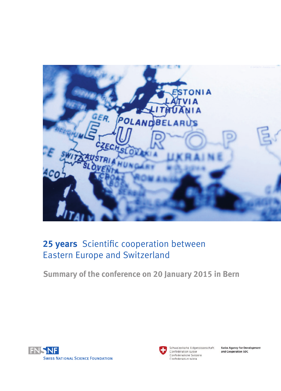

# **25 years** Scientific cooperation between Eastern Europe and Switzerland

**Summary of the conference on 20 January 2015 in Bern**





Schweizerische Eidgenossenschaft Confédération suisse Confederazione Svizzera Confederaziun svizra

**Swiss Agency for Development** and Cooperation SDC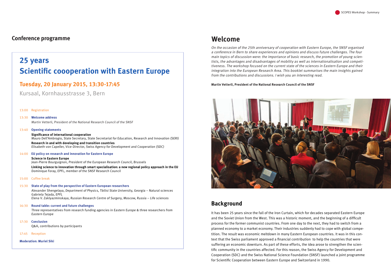On the occasion of the 25th anniversary of cooperation with Eastern Europe, the SNSF organised <sup>a</sup> conference in Bern to share experiences and opinions and discuss future challenges. The four main topics of discussion were: the importance of basic research, the promotion of young scientists, the advantages and disadvantages of mobility as well as internationalisation and competitiveness. The workshop focused on the current state of the sciences in Eastern Europe and their integration into the European Research Area. This booklet summarises the main insights gained from the contributions and discussions. I wish you an interesting read.

#### **Martin Vetterli, President of the National Research Council of the SNSF**



It has been 25 years since the fall of the Iron Curtain, which for decades separated Eastern Europe and the Soviet Union from the West. This was a historic moment, and the beginning of a difficult process for the former communist countries. From one day to the next, they had to switch from a planned economy to a market economy. Their industries suddenly had to cope with global competition. The result was economic meltdown in many Eastern European countries. It was in this context that the Swiss parliament approved a financial contribution to help the countries that were suffering an economic downturn. As part of these efforts, the idea arose to strengthen the scientific community in the countries affected. For this reason, the Swiss Agency for Development and Cooperation (SDC) and the Swiss National Science Foundation (SNSF) launched a joint programme for Scientific Cooperation between Eastern Europe and Switzerland in 1990.

# **Background**

### **Conference programme**

#### 13:00 Registration

13:30 **Welcome address** Martin Vetterli, President of the National Research Council of the SNSF

#### 13:40 **Opening statements**

#### **Significance of international cooperation** Mauro Dell'Ambrogio, State Secretary, State Secretariat for Education, Research and Innovation (SERI)

**Research in and with developing and transition countries** Elisabeth von Capeller, Vice-Director, Swiss Agency for Development and Cooperation (SDC)

#### 14:00 **EU policy on research and innovation for Eastern Europe**

#### **Science in Eastern Europe**

Jean-Pierre Bourguignon, President of the European Research Council, Brussels

**Linking science to innovation through smart specialisation: a new regional policy approach in the EU** Dominique Foray, EPFL, member of the SNSF Research Council

#### 15:00 Coffee break

#### 15:30 **State of play from the perspective of Eastern European researchers**

Alexander Shengelaya, Department of Physics, Tbilisi State University, Georgia – Natural sciences Gabriela Tejada, EPFL

Elena V. Zaklyazminskaya, Russian Research Centre of Surgery, Moscow, Russia – Life sciences

#### 16:30 **Round table: current and future challenges**

Three representatives from research funding agencies in Eastern Europe & three researchers from Eastern Europe

17:30 **Conclusion**

Q&A, contributions by participants

17:45 Reception

**Moderation: Muriel Siki**

# **25 years Scientific coooperation with Eastern Europe**

# **Tuesday, 20 January 2015, 13:30-17:45**

Kursaal, Kornhausstrasse 3, Bern

# **Welcome**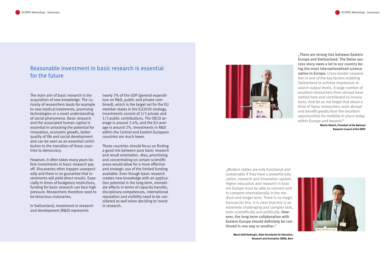The main aim of basic research is the acquisition of new knowledge. The curiosity of researchers leads for example to new medical treatments, promising technologies or a novel understanding of social phenomena. Basic research and the associated human capital is essential in unlocking the potential for innovation, economic growth, better quality of life and social development and can be seen as an essential contribution to the transition of these countries to democracy.

However, it often takes many years before investments in basic research pay off. Discoveries often happen unexpectedly and there is no guarantee that investments will yield direct results. Especially in times of budgetary restrictions, funding for basic research can face high pressure. Researchers therefore need to be tenacious visionaries.

In Switzerland, investment in research and development (R&D) represents

"**There are strong ties between Eastern Europe and Switzerland. The Swiss success story owes a lot to our country being the most internationalised science nation in Europe.** Cross-border cooperation is one of the key factors enabling Switzerland to achieve impressive research output levels. A large number of excellent researchers from abroad have settled here and contributed to innovations. And let us not forget that about a third of Swiss researchers work abroad and benefit greatly from the excellent opportunities for mobility in place today within Europe and beyond."

**Martin Vetterli, President of the National Research Council of the SNSF**



"Modern states are only functional and sustainable if they have a powerful education, research and innovation system. Higher education and research in Eastern Europe must be able to connect and to compete internationally in the medium and longer term. There is no magic formula for this. It is clear that this is an extremely challenging and complex task, both scientifically and politically. **However, the long-term collaboration with Eastern Europe should definitely be continued in one way or another.**"

> **Mauro Dell'Ambrogio, State Secretariat for Education, Research and Innovation (SERI), Bern**

# Reasonable investment in basic research is essential for the future

nearly 3% of the GDP (general expenditure on R&D, public and private combined), which is the target set for the EU member states in the EU2020 strategy. Investments consist of 2/3 private and 1/3 public contributions. The OECD average is around 2.4%, and the EU average is around 2%. Investments in R&D within the Central and Eastern European countries are much lower.

These countries should focus on finding a good mix between pure basic research and result orientation. Also, prioritising and concentrating on certain scientific areas would allow for a more effective and strategic use of the limited funding available. Even though basic research creates new knowledge with an application potential in the long-term, immediate effects in terms of capacity transfer, disciplinary competences, international reputation and visibility need to be considered as well when deciding to invest in research.

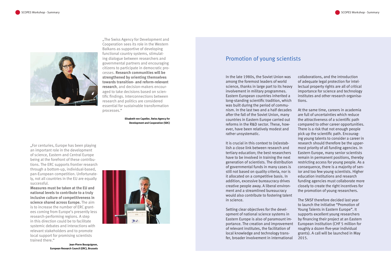"For centuries, Europe has been playing an important role in the development of science, Eastern and Central Europe being at the forefront of these contributions. The ERC supports frontier research through a bottom-up, individual-based, pan-European competition. Unfortunately, not all countries in the EU are equally successful.

**Measures must be taken at the EU and national levels to contribute to a truly inclusive culture of competitiveness in science shared across Europe.** The aim is to increase the number of ERC grantees coming from Europe's presently less research-performing regions. A step in this direction could be to facilitate systemic debates and interactions with relevant stakeholders and to promote local support for promising scientists trained there."

> **Jean-Pierre Bourguignon, European Research Council (ERC), Brussels**



## Promotion of young scientists

In the late 1980s, the Soviet Union was among the foremost leaders of world science, thanks in large part to its heavy involvement in military programmes. Eastern European countries inherited a long-standing scientific tradition, which was built during the period of communism. In the last two and a half decades after the fall of the Soviet Union, many countries in Eastern Europe carried out reforms in the R&D sector. These, however, have been relatively modest and rather unsystematic.

It is crucial in this context to (re)establish a close link between research and tertiary education; the best researchers have to be involved in training the next generation of scientists. The distribution of governmental funds in many cases is still not based on quality criteria, nor is it allocated on a competitive basis. In addition, excessive bureaucracy drives creative people away. A liberal environment and a streamlined bureaucracy would also contribute to fostering talent in science.

Setting clear objectives for the development of national science systems in Eastern Europe is also of paramount importance. The creation and improvement of relevant institutes, the facilitation of local knowledge and technology transfer, broader involvement in international

collaborations, and the introduction of adequate legal protection for intellectual property rights are all of critical importance for science and technology institutes and other research organisations.

At the same time, careers in academia are full of uncertainties which reduce the attractiveness of a scientific path compared to other career opportunities. There is a risk that not enough people pick up the scientific path. Encouraging young talents to consider a career in research should therefore be the uppermost priority of all funding agencies. In Eastern Europe, many senior scientists remain in permanent positions, thereby restricting access for young people. As a consequence, there is a majority of senior and too few young scientists. Higher education institutions and research funding agencies must collaborate more closely to create the right incentives for the promotion of young researchers.

The SNSF therefore decided last year to launch the initiative "Promotion of Young Talents in Eastern Europe". It supports excellent young researchers by financing their project at an Eastern European institution (CHF 5 million for roughly a dozen five-year individual grants). A call will be launched in May 2015.



"The Swiss Agency for Development and Cooperation sees its role in the Western Balkans as supportive of developing functional country systems, stimulating dialogue between researchers and governmental partners and encouraging citizens to participate in democratic processes. **Research communities will be strengthened by orienting themselves towards transition- and reform-relevant research**, and decision-makers encouraged to take decisions based on scientific findings. Interconnections between research and politics are considered essential for sustainable transformation processes."

> **Elisabeth von Capeller, Swiss Agency for Development and Cooperation (SDC)**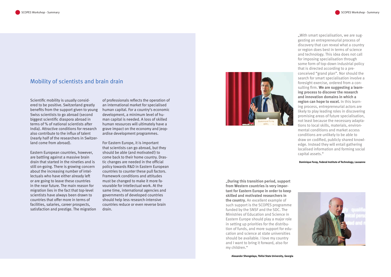"**During this transition period, support from Western countries is very important for Eastern Europe in order to keep skilled and motivated researchers in the country.** An excellent example of such support is the SCOPES programme funded by the SNSF and the SDC. The Ministries of Education and Science in Eastern Europe should play a major role in setting up priorities for the distribution of funds, and more support for education and science at state universities should be available. I love my country and I want to bring it forward, also for my children."

## Mobility of scientists and brain drain

Scientific mobility is usually considered to be positive. Switzerland greatly benefits from the support given to young Swiss scientists to go abroad (second biggest scientific diaspora abroad in terms of % of national scientists after India). Attractive conditions for research also contribute to the influx of talent (nearly half of the researchers in Switzerland come from abroad).

Eastern European countries, however, are battling against a massive brain drain that started in the nineties and is still on-going. There is growing concern about the increasing number of intellectuals who have either already left or are going to leave these countries in the near future. The main reason for migration lies in the fact that top-level scientists have always been drawn to countries that offer more in terms of facilities, salaries, career prospects, satisfaction and prestige. The migration

. With smart specialisation, we are suggesting an entrepreneurial process of discovery that can reveal what a country or region does best in terms of science and technology. This idea does not call for imposing specialisation through some form of top-down industrial policy that is directed according to a preconceived "grand plan". Nor should the search for smart specialisation involve a foresight exercise, ordered from a consulting firm. **We are suggesting a learning process to discover the research and innovation domains in which a region can hope to excel.** In this learning process, entrepreneurial actors are likely to play leading roles in discovering promising areas of future specialisation, not least because the necessary adaptations to local skills, materials, environmental conditions and market access conditions are unlikely to be able to draw on codified, publicly shared knowledge. Instead they will entail gathering localised information and forming social capital assets."

of professionals reflects the operation of an international market for specialised human capital. For a country's economic development, a minimum level of human capital is needed. A loss of skilled human resources will ultimately have a grave impact on the economy and jeopardise development programmes.

For Eastern Europe, it is important that scientists can go abroad, but they should be able (and motivated!) to come back to their home country. Drastic changes are needed in the official policy towards R&D in Eastern European countries to counter these pull factors. Framework conditions and attitudes must be changed to make it more favourable for intellectual work. At the same time, international agencies and governments of developed countries should help less research-intensive countries reduce or even reverse brain drain.



**Dominique Foray, Federal Institute of Technology, Lausanne** 

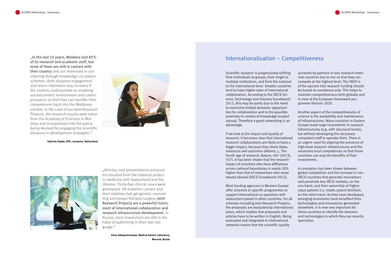Scientific research is progressively shifting from individuals to groups, from single to multiple institutions, and from the national to the international level. Smaller countries tend to have higher rates of international collaboration. According to the OECD Science, Technology and Industry Scoreboard 2013, this may be partly due to the need to overcome limited domestic opportunities for collaboration and to the possible proximity to centres of knowledge located abroad. Therefore a good networking is an advantage.

If we look at the impact and quality of research, it becomes clear that international research collaborations are likely to have a bigger impact, because they share ideas, resources and outcomes (Adams, J., The fourth age of research, Nature, 497 (2013), 557). It has been shown that the research impact of scientists who have affiliations across national boundaries is nearly 20% higher than that of researchers who never moved abroad (OECD Scoreboard 2013).

Most funding agencies in Western Europe offer schemes or specific programmes to support international co-operation with researchers based in other countries. For all schemes including Joint Research Projects, the proposals are evaluated by international peers, which implies that proposals and articles have to be written in English. Being evaluated and integrated in international networks means that the scientific quality

achieved by partners in less research-intensive countries has to rise so that they can compete at the highest level. The SNSF is of the opinion that research funding should be based on excellence only. This helps to maintain competitiveness both globally and in view of the European framework programme Horizon 2020.

"Articles, oral presentations and posters resulted from the trilateral project in medicine with Switzerland and the Ukraine. Thirty-five clinical cases were genotyped. All mutation carriers and their relatives had got genetic counselling and proper therapy/surgery**. Joint Research Projects are a powerful instrument of international collaboration and research infrastructure development.** In Russia, most researchers are still in the habit of publishing in their own language."

Another aspect of the competitiveness of science is the availability and maintenance of infrastructures. Many countries in Eastern Europe made large investments in research infrastructures (e.g. with structural funds), but without developing the necessary competent staff to operate them. There is an urgent need for aligning the presence of high-level research infrastructures and the necessary local competences so that these countries can reap the benefits of their investments.

A correlation has been shown between global competition and the increase in non-OECD countries that generate innovations and penetrate key OECD markets, on the one hand, and their ownership of highervalue patents (i.e. triadic patent families), on the other hand. As they have developed, emerging economies have benefited from technologies and innovations generated elsewhere. It is now very important for these countries to identify the domains and technologies in which they can smartly specialise.

### Internationalisation – Competitiveness

**Elena Zaklyazminskaya, Medical Genetic Laboratory, Moscow, Russia**

"**In the last 25 years, Moldova lost 85% of its research and academic staff, but most of them are still in contact with their country** and are interested in contributing through knowledge circulation schemes. Both diaspora engagement and return intentions may increase if the country could provide an enabling socioeconomic environment and career prospects so that they can transfer their competences back into the Moldovan context. In the case of our Joint Research Projects, the research results were taken from the Academy of Sciences in Moldova and incorporated into the policy being devised for engaging the scientific diaspora in development strategies."



**Gabriela Tejada, EPFL, Lausanne, Switzerland**